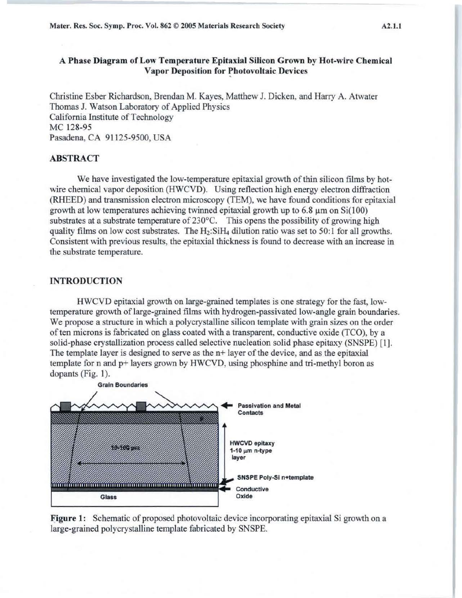Mater. Res. Soc. Symp. Proc. Vol. 862 © 2005 Materials Research Society A2.l.l

# A Phase Diagram of Low Temperature Epitaxial Silicon Grown by Hot-wire Chemical Vapor Deposition for Photovoltaic Devices

Christine Esber Richardson, Brendan M. Kayes, Matthew J. Dicken, and Harry A. Atwater Thomas J. Watson Laboratory of Applied Physics California Institute of Technology MC 128-95 Pasadena, CA 91125-9500, USA

## ABSTRACT

We have investigated the low-temperature epitaxial growth of thin silicon films by hotwire chemical vapor deposition (HWCVD). Using reflection high energy electron diffraction (RHEED) and transmission electron microscopy (TEM), we have found conditions for epitaxial growth at low temperatures achieving twinned epitaxial growth up to  $6.8 \mu m$  on  $Si(100)$ substrates at a substrate temperature of 230°C. This opens the possibility of growing high quality films on low cost substrates. The  $H_2:SiH_4$  dilution ratio was set to 50:1 for all growths. Consistent with previous results, the epitaxial thickness is found to decrease with an increase in the substrate temperature.

### INTRODUCTION

HWCVD epitaxial growth on large-grained templates is one strategy for the fast, lowtemperature growth of large-grained films with hydrogen-passivated low-angle grain boundaries. We propose a structure in which a polycrystalline silicon template with grain sizes on the order of ten microns is fabricated on glass coated with a transparent, conductive oxide (TCO), by a solid-phase crystallization process called selective nucleation solid phase epitaxy (SNSPE) [ 1]. The template layer is designed to serve as the n+ layer of the device, and as the epitaxial template for n and p+ layers grown by HWCVD, using phosphine and tri-methyl boron as dopants (Fig. 1).



Figure 1: Schematic of proposed photovoltaic device incorporating epitaxial Si growth on a large-grained polycrystalline template fabricated by SNSPE.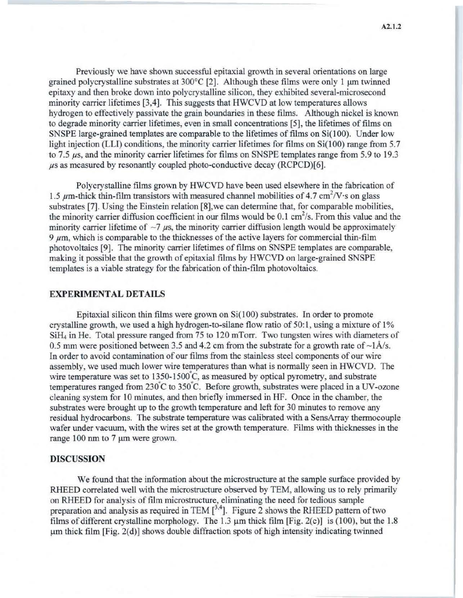Previously we have shown successful epitaxial growth in several orientations on large grained polycrystalline substrates at  $300^{\circ}$ C [2]. Although these films were only 1 um twinned epitaxy and then broke down into polycrystalline silicon, they exhibited several-microsecond minority carrier lifetimes [3,4]. This suggests that HWCVD at low temperatures allows hydrogen to effectively passivate the grain boundaries in these films. Although nickel is known to degrade minority carrier lifetimes, even in small concentrations [5], the lifetimes of films on SNSPE large-grained templates are comparable to the lifetimes of films on Si(100). Under low light injection (LLI) conditions, the minority carrier lifetimes for films on  $Si(100)$  range from 5.7 to 7.5  $\mu$ s, and the minority carrier lifetimes for films on SNSPE templates range from 5.9 to 19.3 us as measured by resonantly coupled photo-conductive decay (RCPCD)[6].

Polycrystalline films grown by HWCVD have been used elsewhere in the fabrication of 1.5  $\mu$ m-thick thin-film transistors with measured channel mobilities of 4.7 cm<sup>2</sup>/V·s on glass substrates [7]. Using the Einstein relation [8],we can determine that, for comparable mobilities, the minority carrier diffusion coefficient in our films would be 0.1 cm<sup>2</sup>/s. From this value and the minority carrier lifetime of  $\sim$ 7  $\mu$ s, the minority carrier diffusion length would be approximately 9  $\mu$ m, which is comparable to the thicknesses of the active layers for commercial thin-film photovoltaics [9]. The minority carrier lifetimes of films on SNSPE templates are comparable, making it possible that the growth of epitaxial films by HWCVD on large-grained SNSPE templates is a viable strategy for the fabrication of thin-film photovoltaics.

### **EXPERIMENTAL DETAILS**

Epitaxial silicon thin films were grown on  $Si(100)$  substrates. In order to promote crystalline growth, we used a high hydrogen-to-silane flow ratio of 50:1, using a mixture of 1% SiH4 in He. Total pressure ranged from 75 to 120 mTorr. Two tungsten wires with diameters of 0.5 mm were positioned between 3.5 and 4.2 cm from the substrate for a growth rate of  $\sim$ 1Å/s. In order to avoid contamination of our films from the stainless steel components of our wire assembly, we used much lower wire temperatures than what is normally seen in HWCVD. The wire temperature was set to  $1350$ - $1500^{\circ}$ C, as measured by optical pyrometry, and substrate temperatures ranged from  $230^{\circ}$ C to  $350^{\circ}$ C. Before growth, substrates were placed in a UV-ozone cleaning system for 10 minutes, and then briefly immersed in HF. Once in the chamber, the substrates were brought up to the growth temperature and left for 30 minutes to remove any residual hydrocarbons. The substrate temperature was calibrated with a SensArray thermocouple wafer under vacuum, with the wires set at the growth temperature. Films with thicknesses in the range 100 nm to 7  $\mu$ m were grown.

### **DISCUSSION**

We found that the information about the microstructure at the sample surface provided by RHEED correlated well with the microstructure observed by TEM, allowing us to rely primarily on RHEED for analysis of film microstructure, eliminating the need for tedious sample on  $R$ HEED for analysis of film microstructure, eliminating the need for teatious sample<br>preparation and analysis as required in TEM  $[3,4]$ . Figure 2 shows the RHEED pattern of two films of different crystalline morphology. The 1.3  $\mu$ m thick film [Fig. 2(c)] is (100), but the 1.8  $\mu$ m thick film [Fig. 2(d)] shows double diffraction spots of high intensity indicating twinned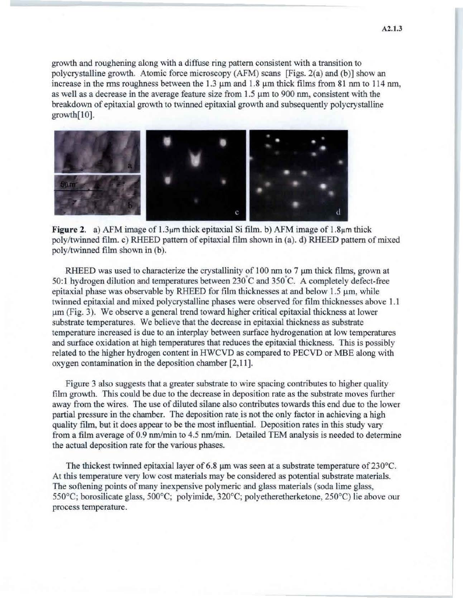growth and roughening along with a diffuse ring pattern consistent with a transition to polycrystalline growth. Atomic force microscopy (AFM) scans [Figs. 2(a) and (b)] show an increase in the rms roughness between the 1.3  $\mu$ m and 1.8  $\mu$ m thick films from 81 nm to 114 nm, as well as a decrease in the average feature size from  $1.5 \mu m$  to 900 nm, consistent with the breakdown of epitaxial growth to twinned epitaxial growth and subsequently polycrystalline growth[10].



**Figure 2.** a) AFM image of 1.3<sub>µ</sub>m thick epitaxial Si film. b) AFM image of 1.8<sub>µ</sub>m thick poly/twinned film. c) RHEED pattern of epitaxial film shown in (a). d) RHEED pattern of mixed poly/twinned film shown in (b).

RHEED was used to characterize the crystallinity of  $100 \text{ nm}$  to  $7 \mu \text{m}$  thick films, grown at 50:1 hydrogen dilution and temperatures between  $230^{\circ}$ C and  $350^{\circ}$ C. A completely defect-free epitaxial phase was observable by RHEED for film thicknesses at and below  $1.5 \mu m$ , while twinned epitaxial and mixed polycrystalline phases were observed for film thicknesses above 1.1 um (Fig. 3). We observe a general trend toward higher critical epitaxial thickness at lower substrate temperatures. We believe that the decrease in epitaxial thickness as substrate temperature increased is due to an interplay between surface hydrogenation at low temperatures and surface oxidation at high temperatures that reduces the epitaxial thickness. *This* is possibly related to the higher hydrogen content in HWCVD as compared to PECVD or MBE along with oxygen contamination in the deposition chamber [2,11].

Figure 3 also suggests that a greater substrate to wire spacing contributes to higher quality film growth. This could be due to the decrease in deposition rate as the substrate moves further away from the wires. The use of diluted silane also contributes towards this end due to the lower partial pressure in the chamber. The deposition rate is not the only factor in achieving a high quality film, but it does appear to be the most influential. Deposition rates in this study vary from a film average of 0.9 nm/min to 4.5 nm/min. Detailed TEM analysis is needed to determine the actual deposition rate for the various phases.

The thickest twinned epitaxial layer of 6.8  $\mu$ m was seen at a substrate temperature of 230°C. At this temperature very low cost materials may be considered as potential substrate materials. The softening points of many inexpensive polymeric and glass materials (soda lime glass, 550°C; borosilicate glass, 500°C; polyimide, 320°C; polyetheretherketone, 250°C) lie above our process temperature.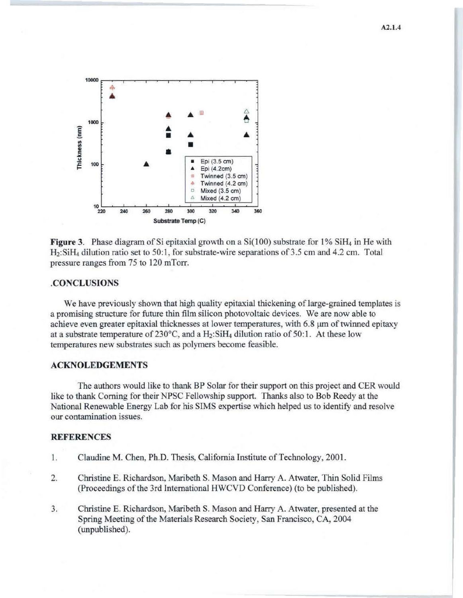

Figure 3. Phase diagram of Si epitaxial growth on a  $Si(100)$  substrate for  $1\%$  SiH<sub>4</sub> in He with  $H<sub>2</sub>: SiH<sub>4</sub> dilution ratio set to 50:1, for substrate-wire separations of 3.5 cm and 4.2 cm. Total$ pressure ranges from 75 to 120 mTorr .

### . CONCLUSIONS

We have previously shown that high quality epitaxial thickening of large-grained templates is a promising structure for future thin film silicon photovoltaic devices. We are now able to achieve even greater epitaxial thicknesses at lower temperatures, with 6.8  $\mu$ m of twinned epitaxy at a substrate temperature of  $230^{\circ}$ C, and a  $H_2$ : Si $H_4$  dilution ratio of 50:1. At these low temperatures new substrates such as polymers become feasible.

### ACKNOLEDGEMENTS

The authors would like to thank BP Solar for their support on this project and CER would like to thank Corning for their NPSC Fellowship support. Thanks also to Bob Reedy at the National Renewable Energy Lab for his SIMS expertise which helped us to identify and resolve our contamination issues.

#### **REFERENCES**

- 1. Claudine M. Chen, Ph.D. Thesis, Caljfornia Institute of Technology, 2001.
- 2. Christine E. Richardson, Maribeth S. Mason and Harry A. Atwater, Thin Solid Films (Proceedings of the 3rd International HWCVD Conference) (to be published).
- 3. Christine E. Richardson, Maribeth S. Mason and Harry A. Atwater, presented at the Spring Meeting of the Materials Research Society, San Francisco, CA, 2004 (unpublished).